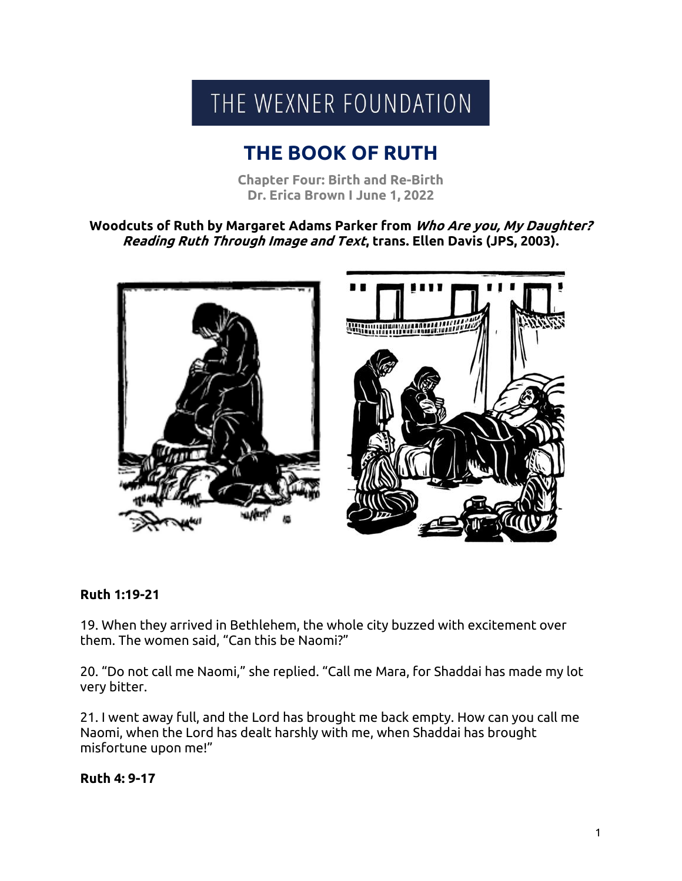# THE WEXNER FOUNDATION

## **THE BOOK OF RUTH**

**Chapter Four: Birth and Re-Birth Dr. Erica Brown I June 1, 2022**

**Woodcuts of Ruth by Margaret Adams Parker from Who Are you, My Daughter? Reading Ruth Through Image and Text, trans. Ellen Davis (JPS, 2003).**



#### **Ruth 1:19-21**

19. When they arrived in Bethlehem, the whole city buzzed with excitement over them. The women said, "Can this be Naomi?"

20. "Do not call me Naomi," she replied. "Call me Mara, for Shaddai has made my lot very bitter.

21. I went away full, and the Lord has brought me back empty. How can you call me Naomi, when the Lord has dealt harshly with me, when Shaddai has brought misfortune upon me!"

#### **Ruth 4: 9-17**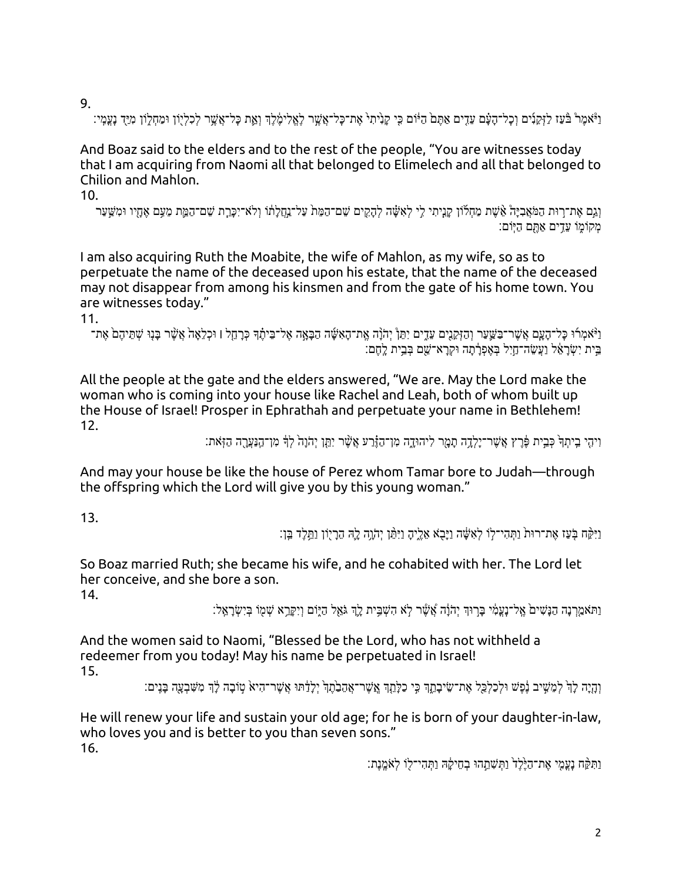9.

וַיْאמֶרْ בּٛעַז לַזְקַנִים וְכָל־הָעָם עֵדֶים אַתֶּם הַיּּׂוֹם כִּי קָנִיתִי אֶת־כָּל־אֲשֶׁר לְאֱלִימֶ֫לֶךְ וְאֱת כָּל־אֲשֶׁר לְכִלְיָוֹן וּמַחְלֶוֹן מִיַּד נְעֲמְי:

And Boaz said to the elders and to the rest of the people, "You are witnesses today that I am acquiring from Naomi all that belonged to Elimelech and all that belonged to Chilion and Mahlon.

10.

וְגַם אֶת־רִוּת הַמֹּאֲבְיָהْ אֶשֶׁת מַחְלוֹן קַנֵיתִי לֵי לְאִשָּׁה לְהָקֵים שֵׁם־הַמֶּת שַׁבִּי הַמֵּא שַׁתַיו וּמִשֵּׁעַר מִקוֹמוֹ עֵדים אַתָּם הִיּוֹם:

I am also acquiring Ruth the Moabite, the wife of Mahlon, as my wife, so as to perpetuate the name of the deceased upon his estate, that the name of the deceased may not disappear from among his kinsmen and from the gate of his home town. You are witnesses today."

11.

ַ וַיֹּאמְרוּ כָּל־הָעֲם אֲשֶׁר־בַשֵּׁעַר וְהַזְּקֵנִים עֵדֵים יִתֵּןْ יִהֹוֵּה אֱת־הָאָשֶּׁה הַבָּאָה אֶל־בֵיתֶ֫ךְ כְּרַחֵל ו וּכְלֵאַה אֲשֶׁר בָּנִוּ שְׁתֵּיהֶם ֹאֶת־ ָבֵית יִשְׂרָאֵל וַעֲשֶׂה־חֲיָל בְּאֶפְרָ֫תַה וּקְרָא־שֵׁם בְּבֵית לֵחֶם:

All the people at the gate and the elders answered, "We are. May the Lord make the woman who is coming into your house like Rachel and Leah, both of whom built up the House of Israel! Prosper in Ephrathah and perpetuate your name in Bethlehem! 12.

וִיהֵי בֵיתִךְ כִּבֵית פֶּ֫רֵץ אֲשֶׁר־יַלְדֵה תַמַר לִיהוּדֵה מְן־הַוָּרַע אֲשֶׁר יִתֲן יְהֹוַה לִדְּ מְן־הַנַעֲרָה הַזְּאת:

And may your house be like the house of Perez whom Tamar bore to Judah—through the offspring which the Lord will give you by this young woman."

13.

וִיקָּח בַּעַז אַת־רוּת וַתְּהִי־לֹו לְאַשֶּׁה וַיִּבְאַ אַלִיה וַיּתְּוַ יִהְוָה לָהָ הִרִיוֹן וִתְּלִד בֵּן׃

So Boaz married Ruth; she became his wife, and he cohabited with her. The Lord let her conceive, and she bore a son.

14.

ַ וַתּאמֵרְנַה הַנַּשִׁים אֱל־נַעֲמִ֫י בַּרְוּךְ יְהֹוֶה אֲשֶׁר לְא הָשִׁבֵּית לֵךְ גֹּאֱל הַיִּוֹם וְיִקֶּרֵא שָׁמִוֹ בְּיִשְׂרָאֱלֹ׃

And the women said to Naomi, "Blessed be the Lord, who has not withheld a redeemer from you today! May his name be perpetuated in Israel! 15.

וְהִיה לֹךְ לְמֵשֵׁיב נָפָשׁ וּלְכַלְכֵּל אֶת־שֵׂיבתֵךְ כֵי כַלְּתֵךְ אֲשֶׁר־אֶהֶבָתֵךְ יָלִדָּתוּ אֲשֶׁר־הָיא טֻוֹבה לֹךְ מְשֶׁבְעָה בַּנֵּים:

He will renew your life and sustain your old age; for he is born of your daughter-in-law, who loves you and is better to you than seven sons." 16.

וַתְּקָּח נַעֲמֵי אֶת־הַיֶּלֶד וַתְּשֶׁתֲהוּ בְחֵיקָה וַתְּהִי־לִו לְּאֹמֵנֶת: